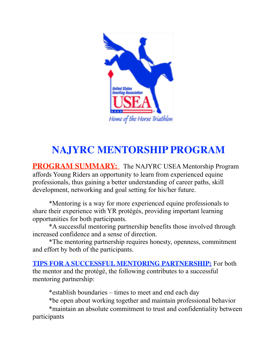

# **NAJYRC MENTORSHIP PROGRAM**

**PROGRAM SUMMARY:** The NAJYRC USEA Mentorship Program affords Young Riders an opportunity to learn from experienced equine professionals, thus gaining a better understanding of career paths, skill development, networking and goal setting for his/her future.

\*Mentoring is a way for more experienced equine professionals to share their experience with YR protégés, providing important learning opportunities for both participants.

 \*A successful mentoring partnership benefits those involved through increased confidence and a sense of direction.

 \*The mentoring partnership requires honesty, openness, commitment and effort by both of the participants.

**TIPS FOR A SUCCESSFUL MENTORING PARTNERSHIP:** For both the mentor and the protégé, the following contributes to a successful mentoring partnership:

\*establish boundaries – times to meet and end each day

\*be open about working together and maintain professional behavior

 \*maintain an absolute commitment to trust and confidentiality between participants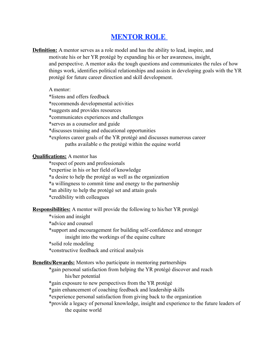### **MENTOR ROLE**

**Definition:** A mentor serves as a role model and has the ability to lead, inspire, and motivate his or her YR protégé by expanding his or her awareness, insight, and perspective. A mentor asks the tough questions and communicates the rules of how things work, identifies political relationships and assists in developing goals with the YR protégé for future career direction and skill development.

A mentor:

\*listens and offers feedback

\*recommends developmental activities

\*suggests and provides resources

\*communicates experiences and challenges

\*serves as a counselor and guide

\*discusses training and educational opportunities

 \*explores career goals of the YR protégé and discusses numerous career paths available o the protégé within the equine world

**Qualifications:** A mentor has

\*respect of peers and professionals

\*expertise in his or her field of knowledge

\*a desire to help the protégé as well as the organization

\*a willingness to commit time and energy to the partnership

\*an ability to help the protégé set and attain goals

\*credibility with colleagues

**Responsibilities:** A mentor will provide the following to his/her YR protégé

\*vision and insight

\*advice and counsel

 \*support and encouragement for building self-confidence and stronger insight into the workings of the equine culture

\*solid role modeling

\*constructive feedback and critical analysis

#### **Benefits/Rewards:** Mentors who participate in mentoring partnerships

 \*gain personal satisfaction from helping the YR protégé discover and reach his/her potential

\*gain exposure to new perspectives from the YR protégé

\*gain enhancement of coaching feedback and leadership skills

\*experience personal satisfaction from giving back to the organization

 \*provide a legacy of personal knowledge, insight and experience to the future leaders of the equine world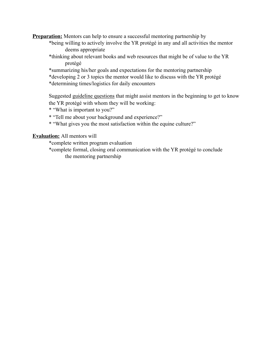**Preparation:** Mentors can help to ensure a successful mentoring partnership by

- \*being willing to actively involve the YR protégé in any and all activities the mentor deems appropriate
- \*thinking about relevant books and web resources that might be of value to the YR protégé
- \*summarizing his/her goals and expectations for the mentoring partnership
- \*developing 2 or 3 topics the mentor would like to discuss with the YR protégé
- \*determining times/logistics for daily encounters

Suggested guideline questions that might assist mentors in the beginning to get to know the YR protégé with whom they will be working:

\* "What is important to you?"

- \* "Tell me about your background and experience?"
- \* "What gives you the most satisfaction within the equine culture?"

#### **Evaluation:** All mentors will

\*complete written program evaluation

 \*complete formal, closing oral communication with the YR protégé to conclude the mentoring partnership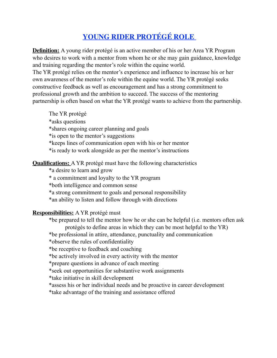### **YOUNG RIDER PROTÉGÉ ROLE**

**Definition:** A young rider protégé is an active member of his or her Area YR Program who desires to work with a mentor from whom he or she may gain guidance, knowledge and training regarding the mentor's role within the equine world.

The YR protégé relies on the mentor's experience and influence to increase his or her own awareness of the mentor's role within the equine world. The YR protégé seeks constructive feedback as well as encouragement and has a strong commitment to professional growth and the ambition to succeed. The success of the mentoring partnership is often based on what the YR protégé wants to achieve from the partnership.

The YR protégé

\*asks questions

\*shares ongoing career planning and goals

\*is open to the mentor's suggestions

\*keeps lines of communication open with his or her mentor

\*is ready to work alongside as per the mentor's instructions

### **Qualifications:** A YR protégé must have the following characteristics

\*a desire to learn and grow

\* a commitment and loyalty to the YR program

\*both intelligence and common sense

\*a strong commitment to goals and personal responsibility

\*an ability to listen and follow through with directions

### **Responsibilities:** A YR protégé must

 \*be prepared to tell the mentor how he or she can be helpful (i.e. mentors often ask protégés to define areas in which they can be most helpful to the YR)

\*be professional in attire, attendance, punctuality and communication

\*observe the rules of confidentiality

\*be receptive to feedback and coaching

\*be actively involved in every activity with the mentor

\*prepare questions in advance of each meeting

\*seek out opportunities for substantive work assignments

\*take initiative in skill development

\*assess his or her individual needs and be proactive in career development

\*take advantage of the training and assistance offered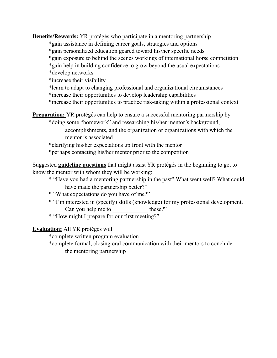**Benefits/Rewards:** YR protégés who participate in a mentoring partnership

\*gain assistance in defining career goals, strategies and options

\*gain personalized education geared toward his/her specific needs

- \*gain exposure to behind the scenes workings of international horse competition
- \*gain help in building confidence to grow beyond the usual expectations

\*develop networks

\*increase their visibility

\*learn to adapt to changing professional and organizational circumstances

\*increase their opportunities to develop leadership capabilities

\*increase their opportunities to practice risk-taking within a professional context

**Preparation:** YR protégés can help to ensure a successful mentoring partnership by

\*doing some "homework" and researching his/her mentor's background,

accomplishments, and the organization or organizations with which the mentor is associated

\*clarifying his/her expectations up front with the mentor

\*perhaps contacting his/her mentor prior to the competition

Suggested **guideline questions** that might assist YR protégés in the beginning to get to know the mentor with whom they will be working:

- \* "Have you had a mentoring partnership in the past? What went well? What could have made the partnership better?"
- \* "What expectations do you have of me?"
- \* "I'm interested in (specify) skills (knowledge) for my professional development. Can you help me to these?"
- \* "How might I prepare for our first meeting?"

**Evaluation:** All YR protégés will

\*complete written program evaluation

 \*complete formal, closing oral communication with their mentors to conclude the mentoring partnership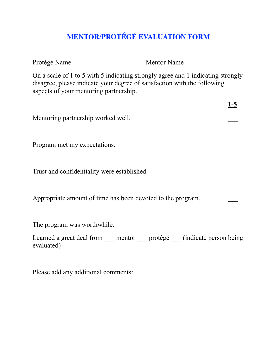## **MENTOR/PROTÉGÉ EVALUATION FORM**

| On a scale of 1 to 5 with 5 indicating strongly agree and 1 indicating strongly<br>disagree, please indicate your degree of satisfaction with the following<br>aspects of your mentoring partnership. |            |
|-------------------------------------------------------------------------------------------------------------------------------------------------------------------------------------------------------|------------|
|                                                                                                                                                                                                       | <u>1-5</u> |
| Mentoring partnership worked well.                                                                                                                                                                    |            |
| Program met my expectations.                                                                                                                                                                          |            |
| Trust and confidentiality were established.                                                                                                                                                           |            |
| Appropriate amount of time has been devoted to the program.                                                                                                                                           |            |
| The program was worthwhile.                                                                                                                                                                           |            |
| Learned a great deal from ____ mentor ____ protégé ____ (indicate person being<br>evaluated)                                                                                                          |            |

Please add any additional comments: